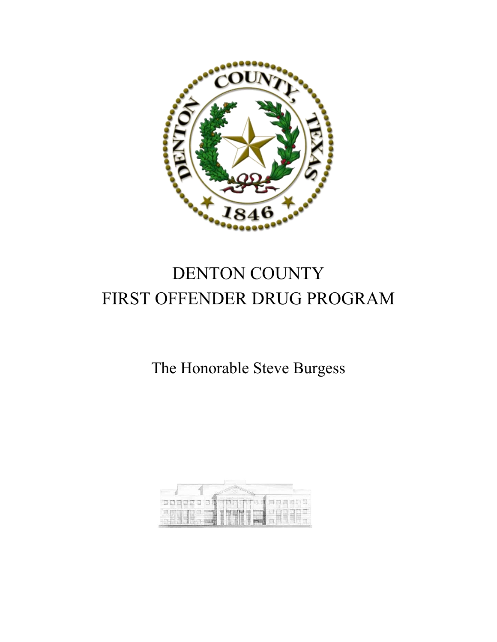

# DENTON COUNTY FIRST OFFENDER DRUG PROGRAM

## The Honorable Steve Burgess

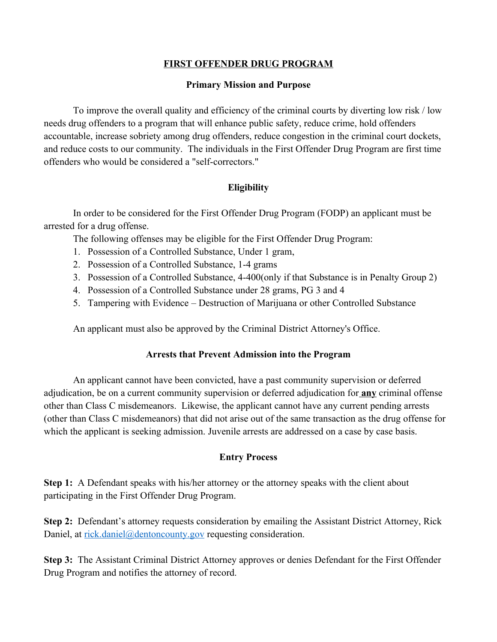#### **FIRST OFFENDER DRUG PROGRAM**

#### **Primary Mission and Purpose**

To improve the overall quality and efficiency of the criminal courts by diverting low risk / low needs drug offenders to a program that will enhance public safety, reduce crime, hold offenders accountable, increase sobriety among drug offenders, reduce congestion in the criminal court dockets, and reduce costs to our community. The individuals in the First Offender Drug Program are first time offenders who would be considered a "self-correctors."

#### **Eligibility**

In order to be considered for the First Offender Drug Program (FODP) an applicant must be arrested for a drug offense.

The following offenses may be eligible for the First Offender Drug Program:

- 1. Possession of a Controlled Substance, Under 1 gram,
- 2. Possession of a Controlled Substance, 1-4 grams
- 3. Possession of a Controlled Substance, 4-400(only if that Substance is in Penalty Group 2)
- 4. Possession of a Controlled Substance under 28 grams, PG 3 and 4
- 5. Tampering with Evidence Destruction of Marijuana or other Controlled Substance

An applicant must also be approved by the Criminal District Attorney's Office.

#### **Arrests that Prevent Admission into the Program**

An applicant cannot have been convicted, have a past community supervision or deferred adjudication, be on a current community supervision or deferred adjudication for **any** criminal offense other than Class C misdemeanors. Likewise, the applicant cannot have any current pending arrests (other than Class C misdemeanors) that did not arise out of the same transaction as the drug offense for which the applicant is seeking admission. Juvenile arrests are addressed on a case by case basis.

### **Entry Process**

**Step 1:** A Defendant speaks with his/her attorney or the attorney speaks with the client about participating in the First Offender Drug Program.

**Step 2:** Defendant's attorney requests consideration by emailing the Assistant District Attorney, Rick Daniel, at [rick.daniel@dentoncounty.gov](mailto:rick.daniel@dentoncounty.gov) requesting consideration.

**Step 3:** The Assistant Criminal District Attorney approves or denies Defendant for the First Offender Drug Program and notifies the attorney of record.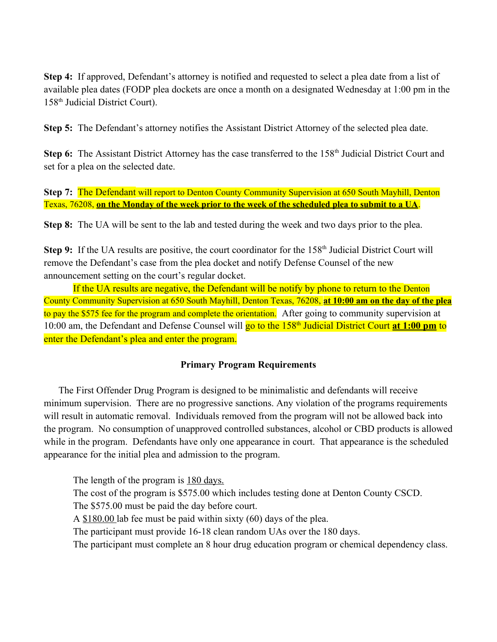**Step 4:** If approved, Defendant's attorney is notified and requested to select a plea date from a list of available plea dates (FODP plea dockets are once a month on a designated Wednesday at 1:00 pm in the 158th Judicial District Court).

**Step 5:** The Defendant's attorney notifies the Assistant District Attorney of the selected plea date.

**Step 6:** The Assistant District Attorney has the case transferred to the 158<sup>th</sup> Judicial District Court and set for a plea on the selected date.

**Step 7:** The Defendant will report to Denton County Community Supervision at 650 South Mayhill, Denton Texas, 76208, **on the Monday of the week prior to the week of the scheduled plea to submit to a UA**.

**Step 8:** The UA will be sent to the lab and tested during the week and two days prior to the plea.

**Step 9:** If the UA results are positive, the court coordinator for the 158<sup>th</sup> Judicial District Court will remove the Defendant's case from the plea docket and notify Defense Counsel of the new announcement setting on the court's regular docket.

If the UA results are negative, the Defendant will be notify by phone to return to the Denton County Community Supervision at 650 South Mayhill, Denton Texas, 76208, **at 10:00 am on the day of the plea** to pay the \$575 fee for the program and complete the orientation. After going to community supervision at 10:00 am, the Defendant and Defense Counsel will go to the 158th Judicial District Court **at 1:00 pm** to enter the Defendant's plea and enter the program.

#### **Primary Program Requirements**

The First Offender Drug Program is designed to be minimalistic and defendants will receive minimum supervision. There are no progressive sanctions. Any violation of the programs requirements will result in automatic removal. Individuals removed from the program will not be allowed back into the program. No consumption of unapproved controlled substances, alcohol or CBD products is allowed while in the program. Defendants have only one appearance in court. That appearance is the scheduled appearance for the initial plea and admission to the program.

The length of the program is  $180 \text{ days}$ . The cost of the program is \$575.00 which includes testing done at Denton County CSCD. The \$575.00 must be paid the day before court. A \$180.00 lab fee must be paid within sixty (60) days of the plea. The participant must provide 16-18 clean random UAs over the 180 days. The participant must complete an 8 hour drug education program or chemical dependency class.